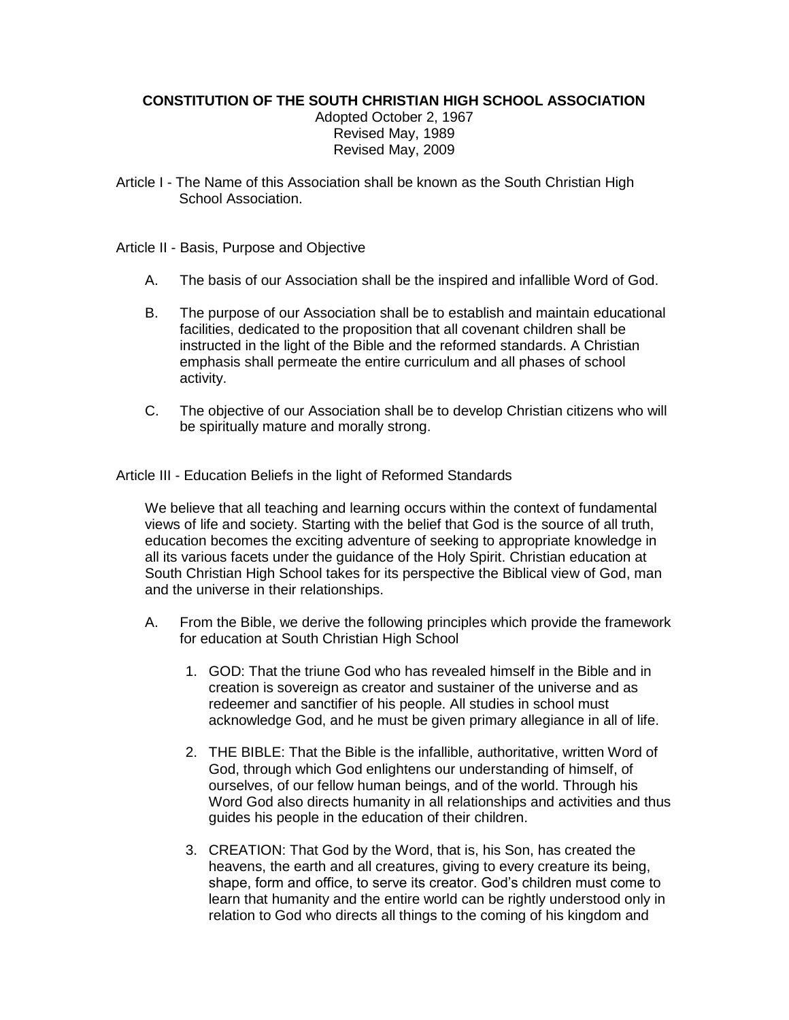## **CONSTITUTION OF THE SOUTH CHRISTIAN HIGH SCHOOL ASSOCIATION**

Adopted October 2, 1967 Revised May, 1989 Revised May, 2009

Article I - The Name of this Association shall be known as the South Christian High School Association.

Article II - Basis, Purpose and Objective

- A. The basis of our Association shall be the inspired and infallible Word of God.
- B. The purpose of our Association shall be to establish and maintain educational facilities, dedicated to the proposition that all covenant children shall be instructed in the light of the Bible and the reformed standards. A Christian emphasis shall permeate the entire curriculum and all phases of school activity.
- C. The objective of our Association shall be to develop Christian citizens who will be spiritually mature and morally strong.

Article III - Education Beliefs in the light of Reformed Standards

We believe that all teaching and learning occurs within the context of fundamental views of life and society. Starting with the belief that God is the source of all truth, education becomes the exciting adventure of seeking to appropriate knowledge in all its various facets under the guidance of the Holy Spirit. Christian education at South Christian High School takes for its perspective the Biblical view of God, man and the universe in their relationships.

- A. From the Bible, we derive the following principles which provide the framework for education at South Christian High School
	- 1. GOD: That the triune God who has revealed himself in the Bible and in creation is sovereign as creator and sustainer of the universe and as redeemer and sanctifier of his people. All studies in school must acknowledge God, and he must be given primary allegiance in all of life.
	- 2. THE BIBLE: That the Bible is the infallible, authoritative, written Word of God, through which God enlightens our understanding of himself, of ourselves, of our fellow human beings, and of the world. Through his Word God also directs humanity in all relationships and activities and thus guides his people in the education of their children.
	- 3. CREATION: That God by the Word, that is, his Son, has created the heavens, the earth and all creatures, giving to every creature its being, shape, form and office, to serve its creator. God's children must come to learn that humanity and the entire world can be rightly understood only in relation to God who directs all things to the coming of his kingdom and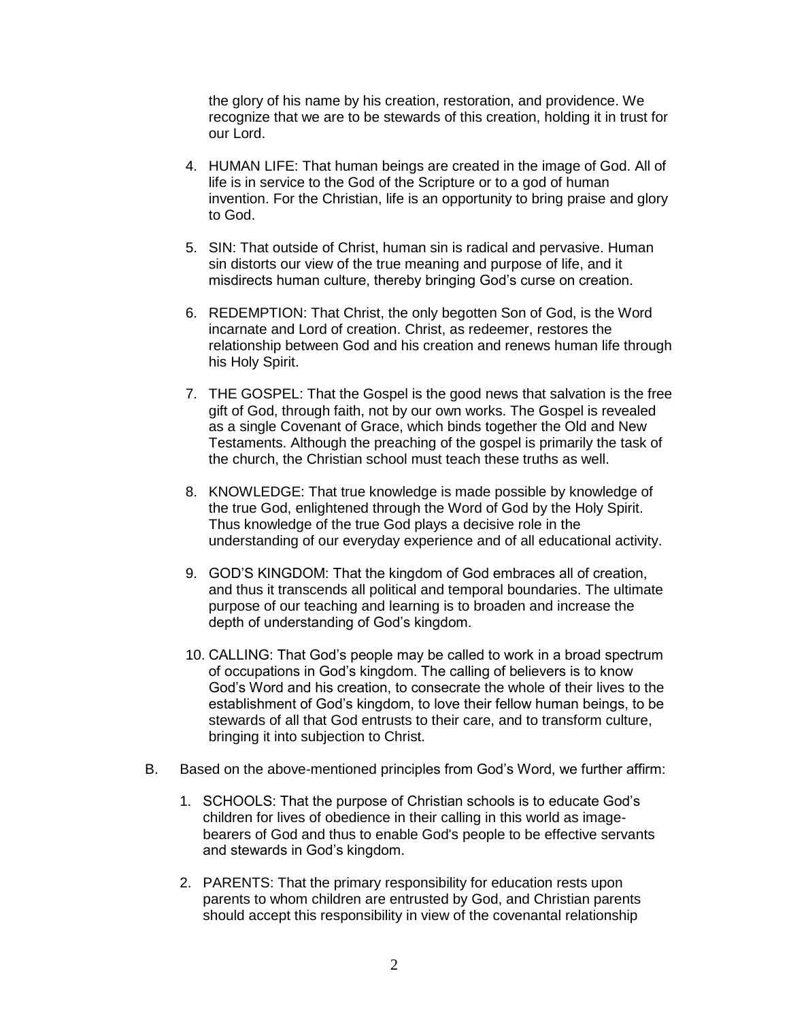the glory of his name by his creation, restoration, and providence. We recognize that we are to be stewards of this creation, holding it in trust for our Lord.

- 4. HUMAN LIFE: That human beings are created in the image of God. All of life is in service to the God of the Scripture or to a god of human invention. For the Christian, life is an opportunity to bring praise and glory to God.
- 5. SIN: That outside of Christ, human sin is radical and pervasive. Human sin distorts our view of the true meaning and purpose of life, and it misdirects human culture, thereby bringing God's curse on creation.
- 6. REDEMPTION: That Christ, the only begotten Son of God, is the Word incarnate and Lord of creation. Christ, as redeemer, restores the relationship between God and his creation and renews human life through his Holy Spirit.
- 7. THE GOSPEL: That the Gospel is the good news that salvation is the free gift of God, through faith, not by our own works. The Gospel is revealed as a single Covenant of Grace, which binds together the Old and New Testaments. Although the preaching of the gospel is primarily the task of the church, the Christian school must teach these truths as well.
- 8. KNOWLEDGE: That true knowledge is made possible by knowledge of the true God, enlightened through the Word of God by the Holy Spirit. Thus knowledge of the true God plays a decisive role in the understanding of our everyday experience and of all educational activity.
- 9. GOD'S KINGDOM: That the kingdom of God embraces all of creation, and thus it transcends all political and temporal boundaries. The ultimate purpose of our teaching and learning is to broaden and increase the depth of understanding of God's kingdom.
- 10. CALLING: That God's people may be called to work in a broad spectrum of occupations in God's kingdom. The calling of believers is to know God's Word and his creation, to consecrate the whole of their lives to the establishment of God's kingdom, to love their fellow human beings, to be stewards of all that God entrusts to their care, and to transform culture, bringing it into subjection to Christ.
- B. Based on the above-mentioned principles from God's Word, we further affirm:
	- 1. SCHOOLS: That the purpose of Christian schools is to educate God's children for lives of obedience in their calling in this world as imagebearers of God and thus to enable God's people to be effective servants and stewards in God's kingdom.
	- 2. PARENTS: That the primary responsibility for education rests upon parents to whom children are entrusted by God, and Christian parents should accept this responsibility in view of the covenantal relationship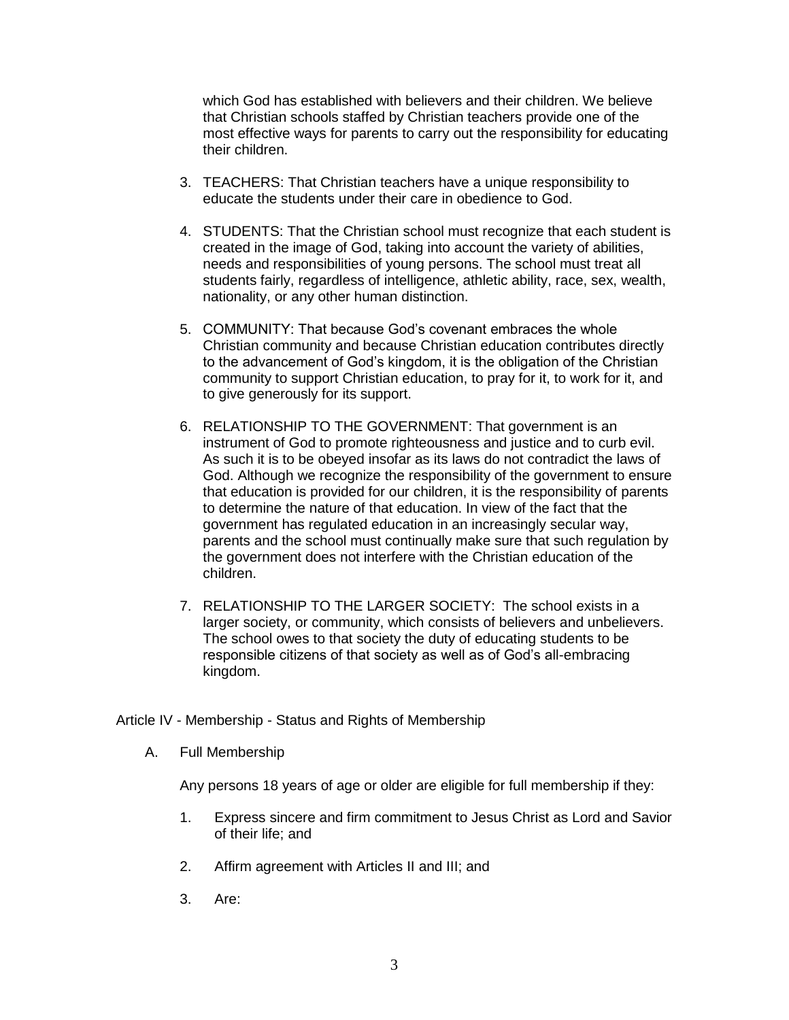which God has established with believers and their children. We believe that Christian schools staffed by Christian teachers provide one of the most effective ways for parents to carry out the responsibility for educating their children.

- 3. TEACHERS: That Christian teachers have a unique responsibility to educate the students under their care in obedience to God.
- 4. STUDENTS: That the Christian school must recognize that each student is created in the image of God, taking into account the variety of abilities, needs and responsibilities of young persons. The school must treat all students fairly, regardless of intelligence, athletic ability, race, sex, wealth, nationality, or any other human distinction.
- 5. COMMUNITY: That because God's covenant embraces the whole Christian community and because Christian education contributes directly to the advancement of God's kingdom, it is the obligation of the Christian community to support Christian education, to pray for it, to work for it, and to give generously for its support.
- 6. RELATIONSHIP TO THE GOVERNMENT: That government is an instrument of God to promote righteousness and justice and to curb evil. As such it is to be obeyed insofar as its laws do not contradict the laws of God. Although we recognize the responsibility of the government to ensure that education is provided for our children, it is the responsibility of parents to determine the nature of that education. In view of the fact that the government has regulated education in an increasingly secular way, parents and the school must continually make sure that such regulation by the government does not interfere with the Christian education of the children.
- 7. RELATIONSHIP TO THE LARGER SOCIETY: The school exists in a larger society, or community, which consists of believers and unbelievers. The school owes to that society the duty of educating students to be responsible citizens of that society as well as of God's all-embracing kingdom.

Article IV - Membership - Status and Rights of Membership

A. Full Membership

Any persons 18 years of age or older are eligible for full membership if they:

- 1. Express sincere and firm commitment to Jesus Christ as Lord and Savior of their life; and
- 2. Affirm agreement with Articles II and III; and
- 3. Are: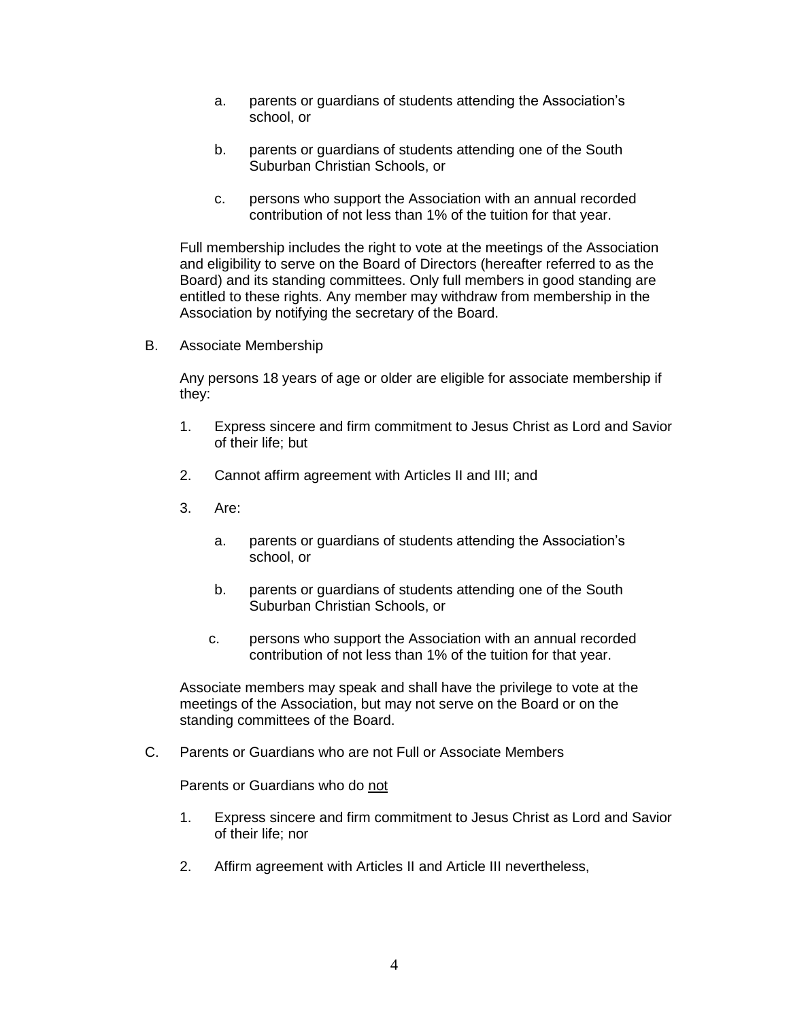- a. parents or guardians of students attending the Association's school, or
- b. parents or guardians of students attending one of the South Suburban Christian Schools, or
- c. persons who support the Association with an annual recorded contribution of not less than 1% of the tuition for that year.

Full membership includes the right to vote at the meetings of the Association and eligibility to serve on the Board of Directors (hereafter referred to as the Board) and its standing committees. Only full members in good standing are entitled to these rights. Any member may withdraw from membership in the Association by notifying the secretary of the Board.

B. Associate Membership

Any persons 18 years of age or older are eligible for associate membership if they:

- 1. Express sincere and firm commitment to Jesus Christ as Lord and Savior of their life; but
- 2. Cannot affirm agreement with Articles II and III; and
- 3. Are:
	- a. parents or guardians of students attending the Association's school, or
	- b. parents or guardians of students attending one of the South Suburban Christian Schools, or
	- c. persons who support the Association with an annual recorded contribution of not less than 1% of the tuition for that year.

Associate members may speak and shall have the privilege to vote at the meetings of the Association, but may not serve on the Board or on the standing committees of the Board.

C. Parents or Guardians who are not Full or Associate Members

Parents or Guardians who do not

- 1. Express sincere and firm commitment to Jesus Christ as Lord and Savior of their life; nor
- 2. Affirm agreement with Articles II and Article III nevertheless,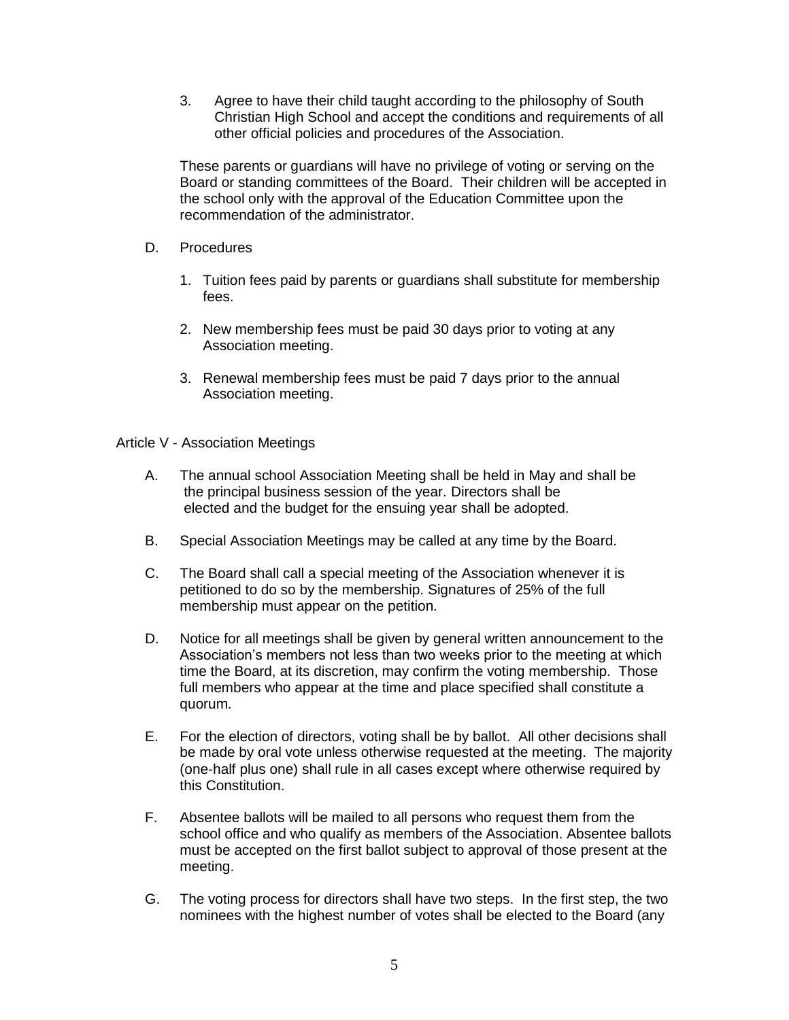3. Agree to have their child taught according to the philosophy of South Christian High School and accept the conditions and requirements of all other official policies and procedures of the Association.

These parents or guardians will have no privilege of voting or serving on the Board or standing committees of the Board. Their children will be accepted in the school only with the approval of the Education Committee upon the recommendation of the administrator.

- D. Procedures
	- 1. Tuition fees paid by parents or guardians shall substitute for membership fees.
	- 2. New membership fees must be paid 30 days prior to voting at any Association meeting.
	- 3. Renewal membership fees must be paid 7 days prior to the annual Association meeting.

Article V - Association Meetings

- A. The annual school Association Meeting shall be held in May and shall be the principal business session of the year. Directors shall be elected and the budget for the ensuing year shall be adopted.
- B. Special Association Meetings may be called at any time by the Board.
- C. The Board shall call a special meeting of the Association whenever it is petitioned to do so by the membership. Signatures of 25% of the full membership must appear on the petition.
- D. Notice for all meetings shall be given by general written announcement to the Association's members not less than two weeks prior to the meeting at which time the Board, at its discretion, may confirm the voting membership. Those full members who appear at the time and place specified shall constitute a quorum.
- E. For the election of directors, voting shall be by ballot. All other decisions shall be made by oral vote unless otherwise requested at the meeting. The majority (one-half plus one) shall rule in all cases except where otherwise required by this Constitution.
- F. Absentee ballots will be mailed to all persons who request them from the school office and who qualify as members of the Association. Absentee ballots must be accepted on the first ballot subject to approval of those present at the meeting.
- G. The voting process for directors shall have two steps. In the first step, the two nominees with the highest number of votes shall be elected to the Board (any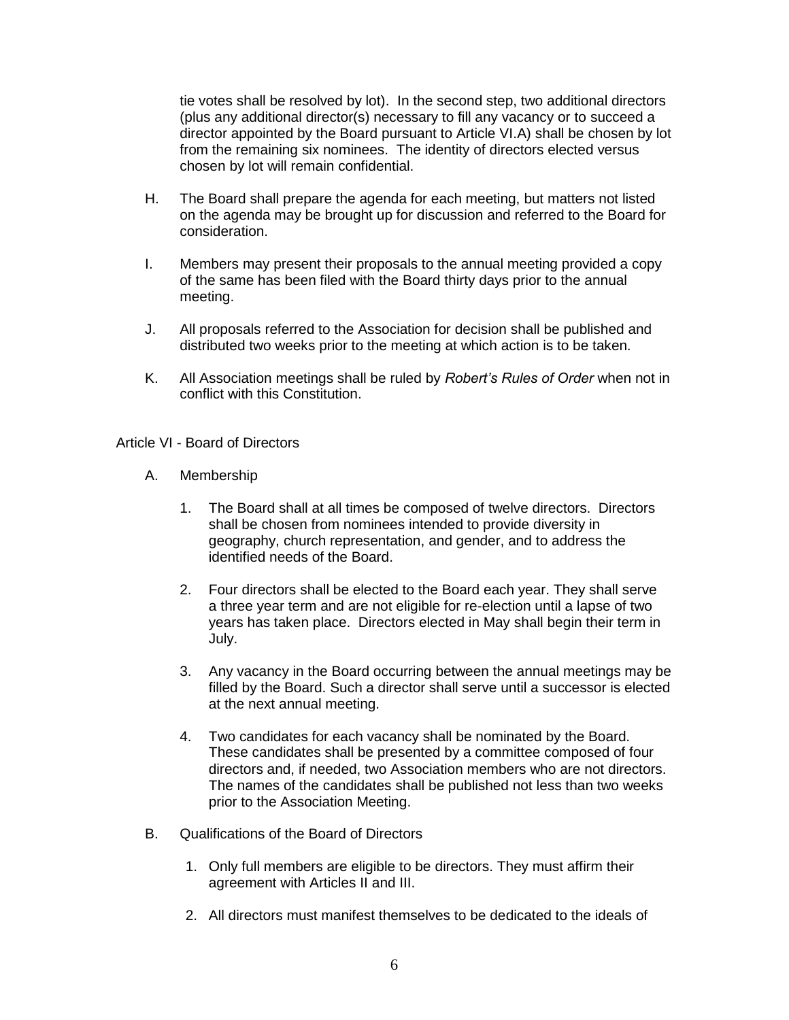tie votes shall be resolved by lot). In the second step, two additional directors (plus any additional director(s) necessary to fill any vacancy or to succeed a director appointed by the Board pursuant to Article VI.A) shall be chosen by lot from the remaining six nominees. The identity of directors elected versus chosen by lot will remain confidential.

- H. The Board shall prepare the agenda for each meeting, but matters not listed on the agenda may be brought up for discussion and referred to the Board for consideration.
- I. Members may present their proposals to the annual meeting provided a copy of the same has been filed with the Board thirty days prior to the annual meeting.
- J. All proposals referred to the Association for decision shall be published and distributed two weeks prior to the meeting at which action is to be taken.
- K. All Association meetings shall be ruled by *Robert's Rules of Order* when not in conflict with this Constitution.

Article VI - Board of Directors

- A. Membership
	- 1. The Board shall at all times be composed of twelve directors. Directors shall be chosen from nominees intended to provide diversity in geography, church representation, and gender, and to address the identified needs of the Board.
	- 2. Four directors shall be elected to the Board each year. They shall serve a three year term and are not eligible for re-election until a lapse of two years has taken place. Directors elected in May shall begin their term in July.
	- 3. Any vacancy in the Board occurring between the annual meetings may be filled by the Board. Such a director shall serve until a successor is elected at the next annual meeting.
	- 4. Two candidates for each vacancy shall be nominated by the Board. These candidates shall be presented by a committee composed of four directors and, if needed, two Association members who are not directors. The names of the candidates shall be published not less than two weeks prior to the Association Meeting.
- B. Qualifications of the Board of Directors
	- 1. Only full members are eligible to be directors. They must affirm their agreement with Articles II and III.
	- 2. All directors must manifest themselves to be dedicated to the ideals of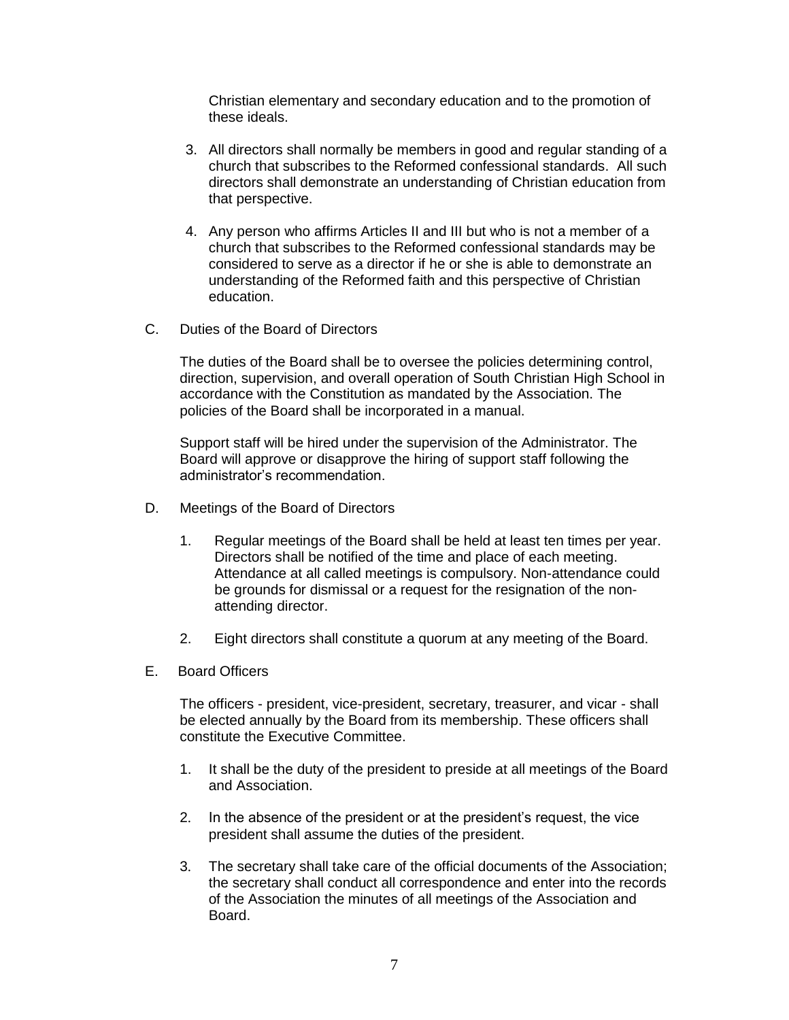Christian elementary and secondary education and to the promotion of these ideals.

- 3. All directors shall normally be members in good and regular standing of a church that subscribes to the Reformed confessional standards. All such directors shall demonstrate an understanding of Christian education from that perspective.
- 4. Any person who affirms Articles II and III but who is not a member of a church that subscribes to the Reformed confessional standards may be considered to serve as a director if he or she is able to demonstrate an understanding of the Reformed faith and this perspective of Christian education.
- C. Duties of the Board of Directors

The duties of the Board shall be to oversee the policies determining control, direction, supervision, and overall operation of South Christian High School in accordance with the Constitution as mandated by the Association. The policies of the Board shall be incorporated in a manual.

Support staff will be hired under the supervision of the Administrator. The Board will approve or disapprove the hiring of support staff following the administrator's recommendation.

- D. Meetings of the Board of Directors
	- 1. Regular meetings of the Board shall be held at least ten times per year. Directors shall be notified of the time and place of each meeting. Attendance at all called meetings is compulsory. Non-attendance could be grounds for dismissal or a request for the resignation of the nonattending director.
	- 2. Eight directors shall constitute a quorum at any meeting of the Board.
- E. Board Officers

The officers - president, vice-president, secretary, treasurer, and vicar - shall be elected annually by the Board from its membership. These officers shall constitute the Executive Committee.

- 1. It shall be the duty of the president to preside at all meetings of the Board and Association.
- 2. In the absence of the president or at the president's request, the vice president shall assume the duties of the president.
- 3. The secretary shall take care of the official documents of the Association; the secretary shall conduct all correspondence and enter into the records of the Association the minutes of all meetings of the Association and Board.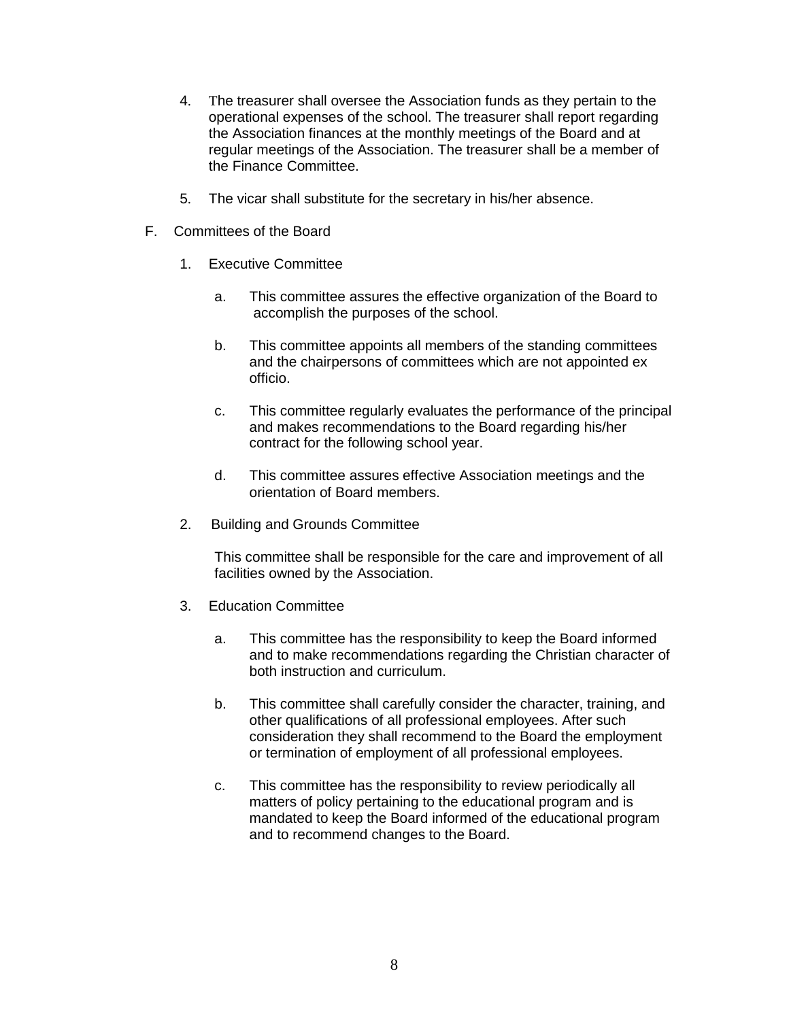- 4. The treasurer shall oversee the Association funds as they pertain to the operational expenses of the school. The treasurer shall report regarding the Association finances at the monthly meetings of the Board and at regular meetings of the Association. The treasurer shall be a member of the Finance Committee.
- 5. The vicar shall substitute for the secretary in his/her absence.
- F. Committees of the Board
	- 1. Executive Committee
		- a. This committee assures the effective organization of the Board to accomplish the purposes of the school.
		- b. This committee appoints all members of the standing committees and the chairpersons of committees which are not appointed ex officio.
		- c. This committee regularly evaluates the performance of the principal and makes recommendations to the Board regarding his/her contract for the following school year.
		- d. This committee assures effective Association meetings and the orientation of Board members.
	- 2. Building and Grounds Committee

This committee shall be responsible for the care and improvement of all facilities owned by the Association.

- 3. Education Committee
	- a. This committee has the responsibility to keep the Board informed and to make recommendations regarding the Christian character of both instruction and curriculum.
	- b. This committee shall carefully consider the character, training, and other qualifications of all professional employees. After such consideration they shall recommend to the Board the employment or termination of employment of all professional employees.
	- c. This committee has the responsibility to review periodically all matters of policy pertaining to the educational program and is mandated to keep the Board informed of the educational program and to recommend changes to the Board.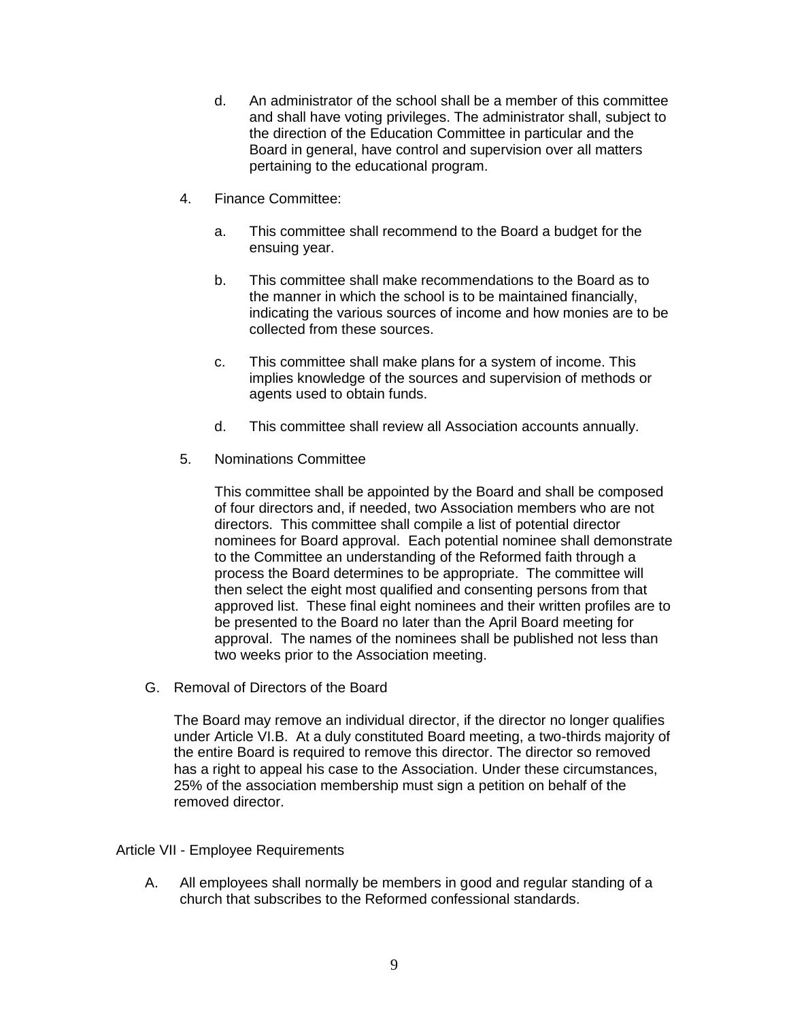- d. An administrator of the school shall be a member of this committee and shall have voting privileges. The administrator shall, subject to the direction of the Education Committee in particular and the Board in general, have control and supervision over all matters pertaining to the educational program.
- 4. Finance Committee:
	- a. This committee shall recommend to the Board a budget for the ensuing year.
	- b. This committee shall make recommendations to the Board as to the manner in which the school is to be maintained financially, indicating the various sources of income and how monies are to be collected from these sources.
	- c. This committee shall make plans for a system of income. This implies knowledge of the sources and supervision of methods or agents used to obtain funds.
	- d. This committee shall review all Association accounts annually.
- 5. Nominations Committee

This committee shall be appointed by the Board and shall be composed of four directors and, if needed, two Association members who are not directors. This committee shall compile a list of potential director nominees for Board approval. Each potential nominee shall demonstrate to the Committee an understanding of the Reformed faith through a process the Board determines to be appropriate. The committee will then select the eight most qualified and consenting persons from that approved list. These final eight nominees and their written profiles are to be presented to the Board no later than the April Board meeting for approval. The names of the nominees shall be published not less than two weeks prior to the Association meeting.

G. Removal of Directors of the Board

The Board may remove an individual director, if the director no longer qualifies under Article VI.B. At a duly constituted Board meeting, a two-thirds majority of the entire Board is required to remove this director. The director so removed has a right to appeal his case to the Association. Under these circumstances, 25% of the association membership must sign a petition on behalf of the removed director.

Article VII - Employee Requirements

A. All employees shall normally be members in good and regular standing of a church that subscribes to the Reformed confessional standards.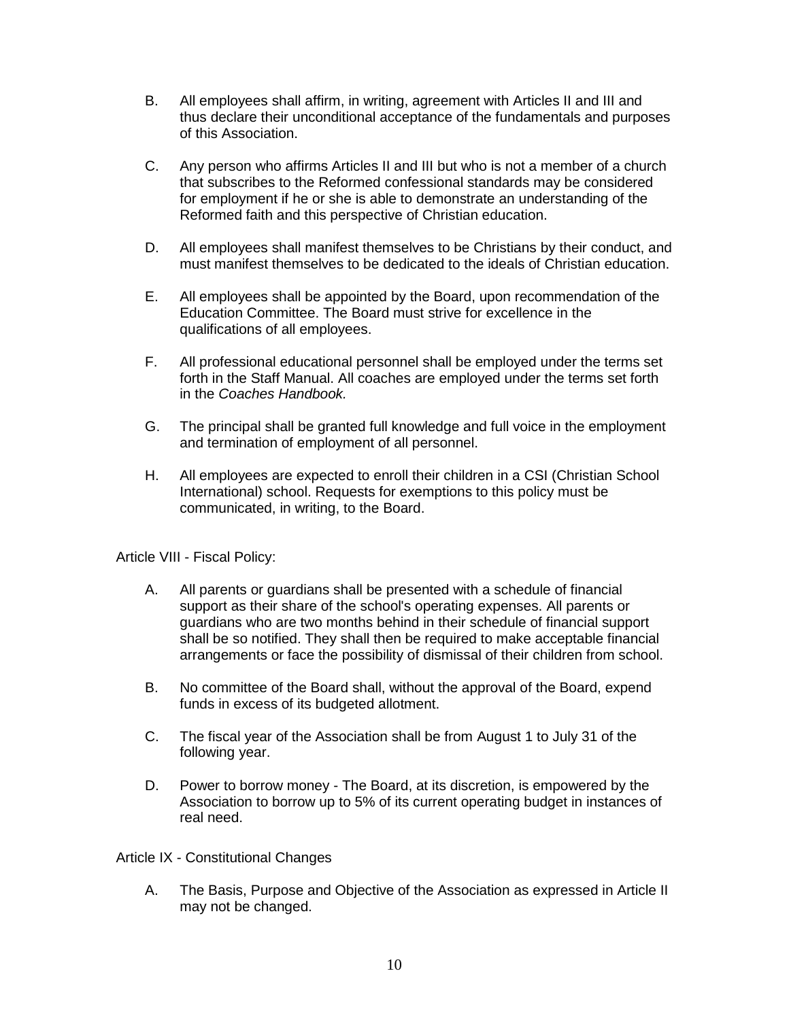- B. All employees shall affirm, in writing, agreement with Articles II and III and thus declare their unconditional acceptance of the fundamentals and purposes of this Association.
- C. Any person who affirms Articles II and III but who is not a member of a church that subscribes to the Reformed confessional standards may be considered for employment if he or she is able to demonstrate an understanding of the Reformed faith and this perspective of Christian education.
- D. All employees shall manifest themselves to be Christians by their conduct, and must manifest themselves to be dedicated to the ideals of Christian education.
- E. All employees shall be appointed by the Board, upon recommendation of the Education Committee. The Board must strive for excellence in the qualifications of all employees.
- F. All professional educational personnel shall be employed under the terms set forth in the Staff Manual. All coaches are employed under the terms set forth in the *Coaches Handbook.*
- G. The principal shall be granted full knowledge and full voice in the employment and termination of employment of all personnel.
- H. All employees are expected to enroll their children in a CSI (Christian School International) school. Requests for exemptions to this policy must be communicated, in writing, to the Board.

Article VIII - Fiscal Policy:

- A. All parents or guardians shall be presented with a schedule of financial support as their share of the school's operating expenses. All parents or guardians who are two months behind in their schedule of financial support shall be so notified. They shall then be required to make acceptable financial arrangements or face the possibility of dismissal of their children from school.
- B. No committee of the Board shall, without the approval of the Board, expend funds in excess of its budgeted allotment.
- C. The fiscal year of the Association shall be from August 1 to July 31 of the following year.
- D. Power to borrow money The Board, at its discretion, is empowered by the Association to borrow up to 5% of its current operating budget in instances of real need.

Article IX - Constitutional Changes

A. The Basis, Purpose and Objective of the Association as expressed in Article II may not be changed.